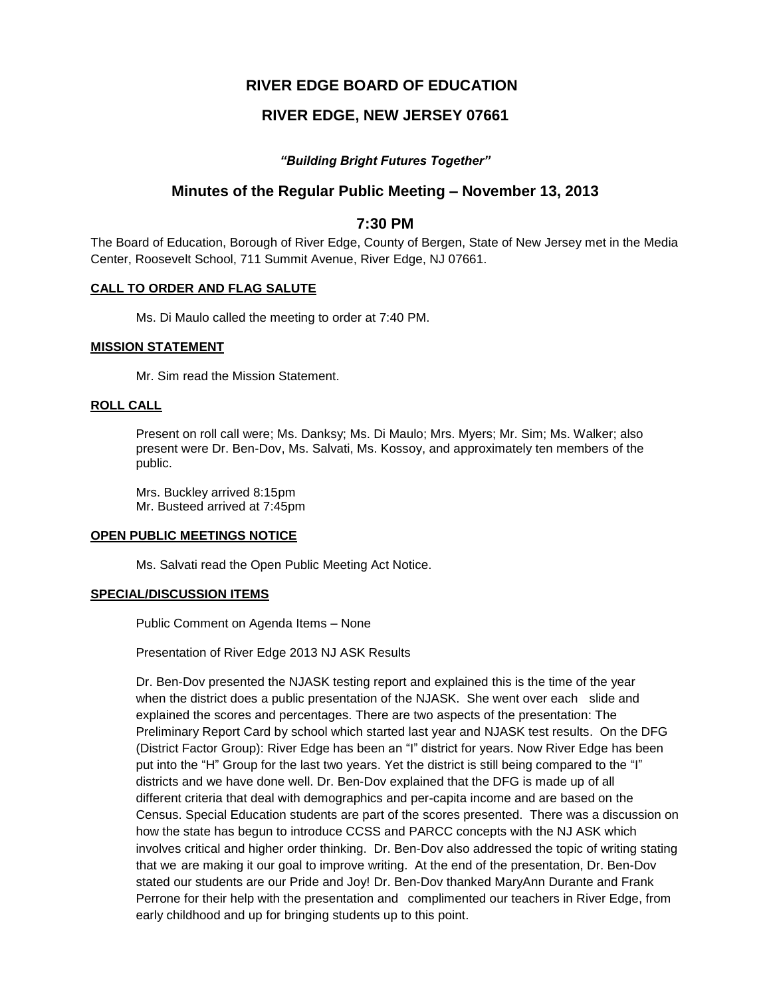# **RIVER EDGE BOARD OF EDUCATION**

# **RIVER EDGE, NEW JERSEY 07661**

## *"Building Bright Futures Together"*

# **Minutes of the Regular Public Meeting – November 13, 2013**

## **7:30 PM**

The Board of Education, Borough of River Edge, County of Bergen, State of New Jersey met in the Media Center, Roosevelt School, 711 Summit Avenue, River Edge, NJ 07661.

#### **CALL TO ORDER AND FLAG SALUTE**

Ms. Di Maulo called the meeting to order at 7:40 PM.

#### **MISSION STATEMENT**

Mr. Sim read the Mission Statement.

## **ROLL CALL**

Present on roll call were; Ms. Danksy; Ms. Di Maulo; Mrs. Myers; Mr. Sim; Ms. Walker; also present were Dr. Ben-Dov, Ms. Salvati, Ms. Kossoy, and approximately ten members of the public.

Mrs. Buckley arrived 8:15pm Mr. Busteed arrived at 7:45pm

#### **OPEN PUBLIC MEETINGS NOTICE**

Ms. Salvati read the Open Public Meeting Act Notice.

## **SPECIAL/DISCUSSION ITEMS**

Public Comment on Agenda Items – None

Presentation of River Edge 2013 NJ ASK Results

Dr. Ben-Dov presented the NJASK testing report and explained this is the time of the year when the district does a public presentation of the NJASK. She went over each slide and explained the scores and percentages. There are two aspects of the presentation: The Preliminary Report Card by school which started last year and NJASK test results. On the DFG (District Factor Group): River Edge has been an "I" district for years. Now River Edge has been put into the "H" Group for the last two years. Yet the district is still being compared to the "I" districts and we have done well. Dr. Ben-Dov explained that the DFG is made up of all different criteria that deal with demographics and per-capita income and are based on the Census. Special Education students are part of the scores presented. There was a discussion on how the state has begun to introduce CCSS and PARCC concepts with the NJ ASK which involves critical and higher order thinking. Dr. Ben-Dov also addressed the topic of writing stating that we are making it our goal to improve writing. At the end of the presentation, Dr. Ben-Dov stated our students are our Pride and Joy! Dr. Ben-Dov thanked MaryAnn Durante and Frank Perrone for their help with the presentation and complimented our teachers in River Edge, from early childhood and up for bringing students up to this point.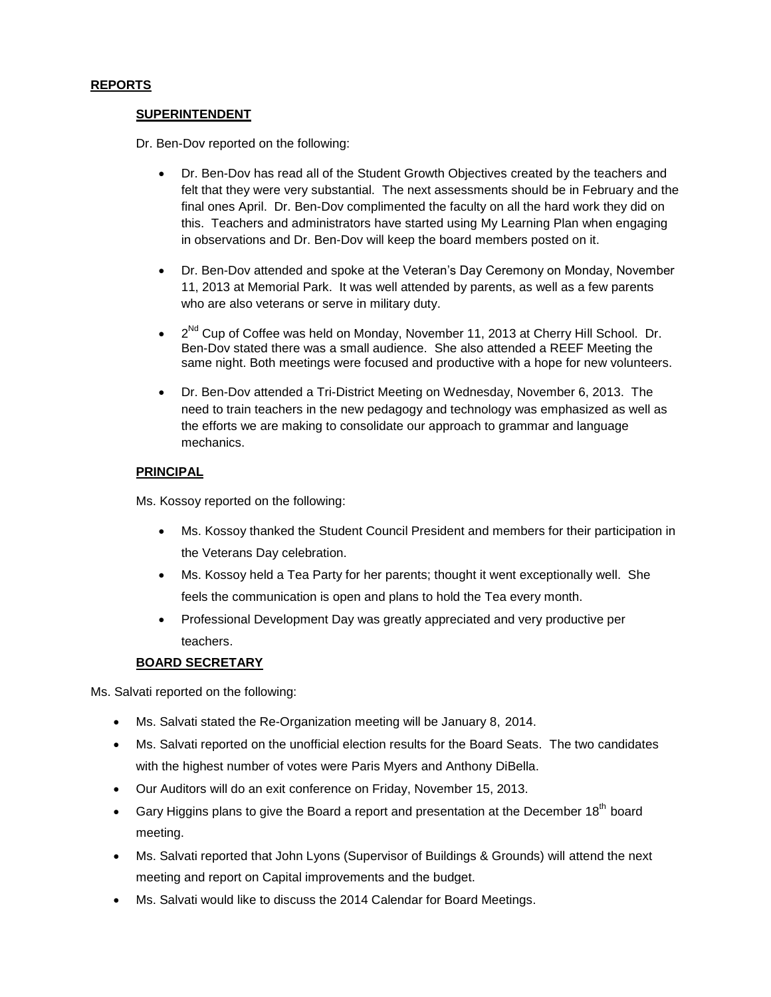## **REPORTS**

## **SUPERINTENDENT**

Dr. Ben-Dov reported on the following:

- Dr. Ben-Dov has read all of the Student Growth Objectives created by the teachers and felt that they were very substantial. The next assessments should be in February and the final ones April. Dr. Ben-Dov complimented the faculty on all the hard work they did on this. Teachers and administrators have started using My Learning Plan when engaging in observations and Dr. Ben-Dov will keep the board members posted on it.
- Dr. Ben-Dov attended and spoke at the Veteran's Day Ceremony on Monday, November 11, 2013 at Memorial Park. It was well attended by parents, as well as a few parents who are also veterans or serve in military duty.
- $\bullet$   $2^{Nd}$  Cup of Coffee was held on Monday, November 11, 2013 at Cherry Hill School. Dr. Ben-Dov stated there was a small audience. She also attended a REEF Meeting the same night. Both meetings were focused and productive with a hope for new volunteers.
- Dr. Ben-Dov attended a Tri-District Meeting on Wednesday, November 6, 2013. The need to train teachers in the new pedagogy and technology was emphasized as well as the efforts we are making to consolidate our approach to grammar and language mechanics.

## **PRINCIPAL**

Ms. Kossoy reported on the following:

- Ms. Kossoy thanked the Student Council President and members for their participation in the Veterans Day celebration.
- Ms. Kossoy held a Tea Party for her parents; thought it went exceptionally well. She feels the communication is open and plans to hold the Tea every month.
- Professional Development Day was greatly appreciated and very productive per teachers.

## **BOARD SECRETARY**

Ms. Salvati reported on the following:

- Ms. Salvati stated the Re-Organization meeting will be January 8, 2014.
- Ms. Salvati reported on the unofficial election results for the Board Seats. The two candidates with the highest number of votes were Paris Myers and Anthony DiBella.
- Our Auditors will do an exit conference on Friday, November 15, 2013.
- Gary Higgins plans to give the Board a report and presentation at the December  $18<sup>th</sup>$  board meeting.
- Ms. Salvati reported that John Lyons (Supervisor of Buildings & Grounds) will attend the next meeting and report on Capital improvements and the budget.
- Ms. Salvati would like to discuss the 2014 Calendar for Board Meetings.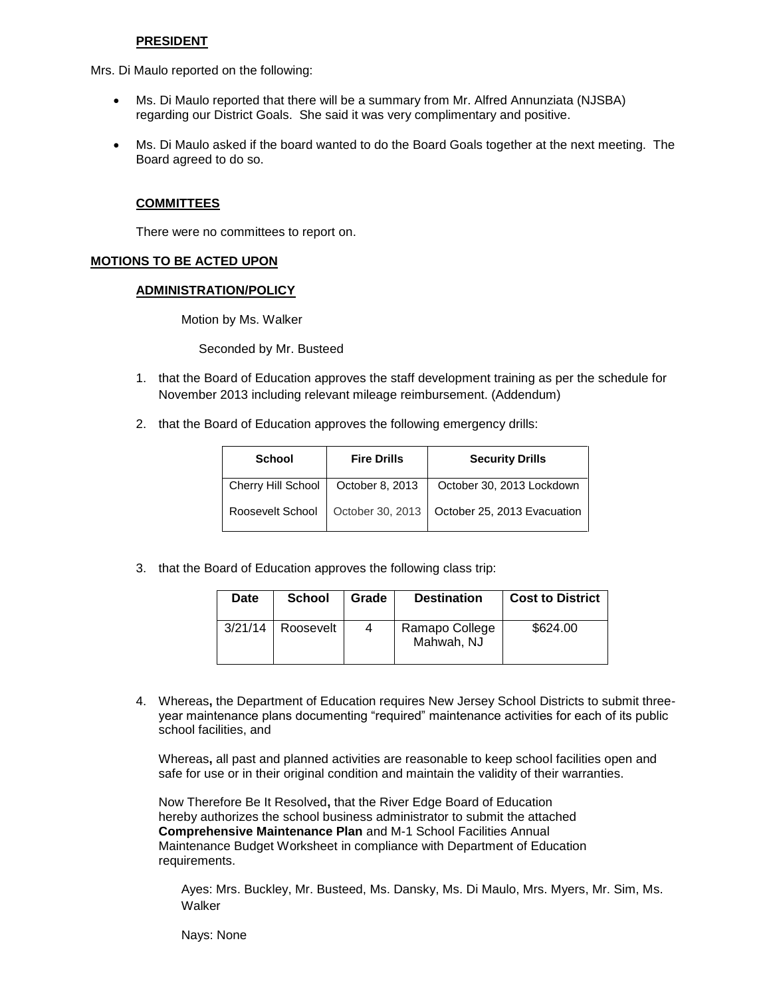#### **PRESIDENT**

Mrs. Di Maulo reported on the following:

- Ms. Di Maulo reported that there will be a summary from Mr. Alfred Annunziata (NJSBA) regarding our District Goals. She said it was very complimentary and positive.
- Ms. Di Maulo asked if the board wanted to do the Board Goals together at the next meeting. The Board agreed to do so.

#### **COMMITTEES**

There were no committees to report on.

#### **MOTIONS TO BE ACTED UPON**

### **ADMINISTRATION/POLICY**

Motion by Ms. Walker

Seconded by Mr. Busteed

- 1. that the Board of Education approves the staff development training as per the schedule for November 2013 including relevant mileage reimbursement. (Addendum)
- 2. that the Board of Education approves the following emergency drills:

| <b>School</b>      | <b>Fire Drills</b> | <b>Security Drills</b>                         |  |
|--------------------|--------------------|------------------------------------------------|--|
| Cherry Hill School | October 8, 2013    | October 30, 2013 Lockdown                      |  |
| Roosevelt School   |                    | October 30, 2013   October 25, 2013 Evacuation |  |

3. that the Board of Education approves the following class trip:

| Date | <b>School</b>         | Grade | <b>Destination</b>           | <b>Cost to District</b> |
|------|-----------------------|-------|------------------------------|-------------------------|
|      | $3/21/14$   Roosevelt | 4     | Ramapo College<br>Mahwah, NJ | \$624.00                |

4. Whereas**,** the Department of Education requires New Jersey School Districts to submit threeyear maintenance plans documenting "required" maintenance activities for each of its public school facilities, and

Whereas**,** all past and planned activities are reasonable to keep school facilities open and safe for use or in their original condition and maintain the validity of their warranties.

Now Therefore Be It Resolved**,** that the River Edge Board of Education hereby authorizes the school business administrator to submit the attached **Comprehensive Maintenance Plan** and M-1 School Facilities Annual Maintenance Budget Worksheet in compliance with Department of Education requirements.

Ayes: Mrs. Buckley, Mr. Busteed, Ms. Dansky, Ms. Di Maulo, Mrs. Myers, Mr. Sim, Ms. Walker

Nays: None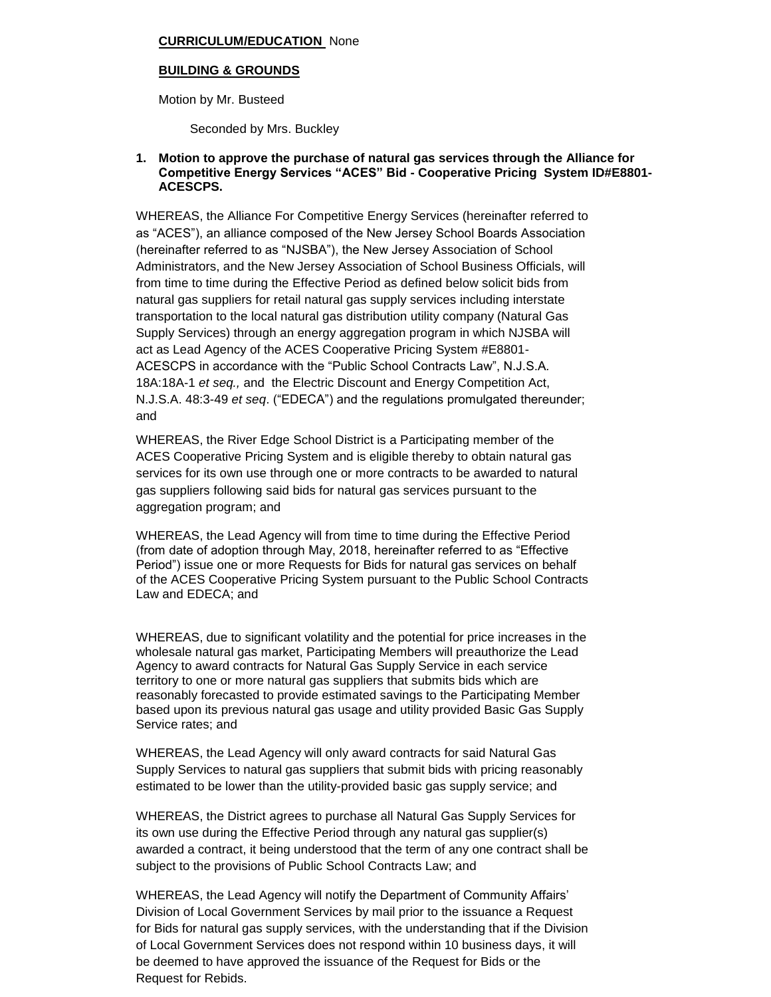## **CURRICULUM/EDUCATION** None

## **BUILDING & GROUNDS**

Motion by Mr. Busteed

Seconded by Mrs. Buckley

## **1. Motion to approve the purchase of natural gas services through the Alliance for Competitive Energy Services "ACES" Bid - Cooperative Pricing System ID#E8801- ACESCPS.**

WHEREAS, the Alliance For Competitive Energy Services (hereinafter referred to as "ACES"), an alliance composed of the New Jersey School Boards Association (hereinafter referred to as "NJSBA"), the New Jersey Association of School Administrators, and the New Jersey Association of School Business Officials, will from time to time during the Effective Period as defined below solicit bids from natural gas suppliers for retail natural gas supply services including interstate transportation to the local natural gas distribution utility company (Natural Gas Supply Services) through an energy aggregation program in which NJSBA will act as Lead Agency of the ACES Cooperative Pricing System #E8801- ACESCPS in accordance with the "Public School Contracts Law", N.J.S.A*.*  18A:18A-1 *et seq.,* and the Electric Discount and Energy Competition Act, N.J.S.A. 48:3-49 *et seq*. ("EDECA") and the regulations promulgated thereunder; and

WHEREAS, the River Edge School District is a Participating member of the ACES Cooperative Pricing System and is eligible thereby to obtain natural gas services for its own use through one or more contracts to be awarded to natural gas suppliers following said bids for natural gas services pursuant to the aggregation program; and

WHEREAS, the Lead Agency will from time to time during the Effective Period (from date of adoption through May, 2018, hereinafter referred to as "Effective Period") issue one or more Requests for Bids for natural gas services on behalf of the ACES Cooperative Pricing System pursuant to the Public School Contracts Law and EDECA; and

WHEREAS, due to significant volatility and the potential for price increases in the wholesale natural gas market, Participating Members will preauthorize the Lead Agency to award contracts for Natural Gas Supply Service in each service territory to one or more natural gas suppliers that submits bids which are reasonably forecasted to provide estimated savings to the Participating Member based upon its previous natural gas usage and utility provided Basic Gas Supply Service rates; and

WHEREAS, the Lead Agency will only award contracts for said Natural Gas Supply Services to natural gas suppliers that submit bids with pricing reasonably estimated to be lower than the utility-provided basic gas supply service; and

WHEREAS, the District agrees to purchase all Natural Gas Supply Services for its own use during the Effective Period through any natural gas supplier(s) awarded a contract, it being understood that the term of any one contract shall be subject to the provisions of Public School Contracts Law; and

WHEREAS, the Lead Agency will notify the Department of Community Affairs' Division of Local Government Services by mail prior to the issuance a Request for Bids for natural gas supply services, with the understanding that if the Division of Local Government Services does not respond within 10 business days, it will be deemed to have approved the issuance of the Request for Bids or the Request for Rebids.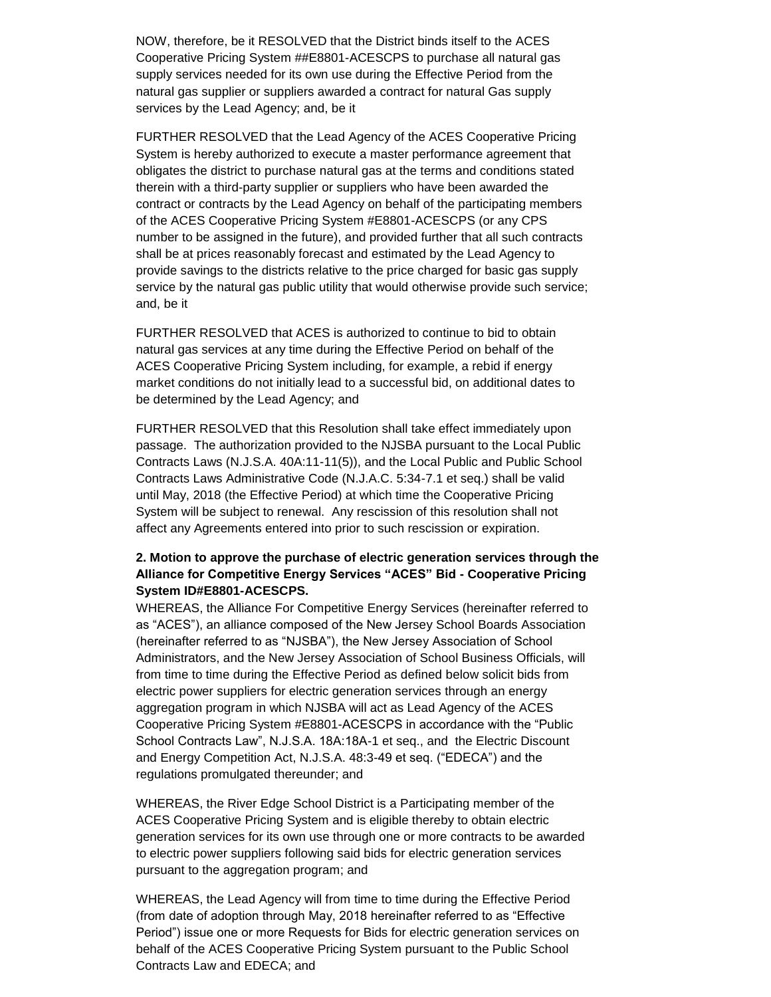NOW, therefore, be it RESOLVED that the District binds itself to the ACES Cooperative Pricing System ##E8801-ACESCPS to purchase all natural gas supply services needed for its own use during the Effective Period from the natural gas supplier or suppliers awarded a contract for natural Gas supply services by the Lead Agency; and, be it

FURTHER RESOLVED that the Lead Agency of the ACES Cooperative Pricing System is hereby authorized to execute a master performance agreement that obligates the district to purchase natural gas at the terms and conditions stated therein with a third-party supplier or suppliers who have been awarded the contract or contracts by the Lead Agency on behalf of the participating members of the ACES Cooperative Pricing System #E8801-ACESCPS (or any CPS number to be assigned in the future), and provided further that all such contracts shall be at prices reasonably forecast and estimated by the Lead Agency to provide savings to the districts relative to the price charged for basic gas supply service by the natural gas public utility that would otherwise provide such service; and, be it

FURTHER RESOLVED that ACES is authorized to continue to bid to obtain natural gas services at any time during the Effective Period on behalf of the ACES Cooperative Pricing System including, for example, a rebid if energy market conditions do not initially lead to a successful bid, on additional dates to be determined by the Lead Agency; and

FURTHER RESOLVED that this Resolution shall take effect immediately upon passage. The authorization provided to the NJSBA pursuant to the Local Public Contracts Laws (N.J.S.A. 40A:11-11(5)), and the Local Public and Public School Contracts Laws Administrative Code (N.J.A.C. 5:34-7.1 et seq.) shall be valid until May, 2018 (the Effective Period) at which time the Cooperative Pricing System will be subject to renewal. Any rescission of this resolution shall not affect any Agreements entered into prior to such rescission or expiration.

## **2. Motion to approve the purchase of electric generation services through the Alliance for Competitive Energy Services "ACES" Bid - Cooperative Pricing System ID#E8801-ACESCPS.**

WHEREAS, the Alliance For Competitive Energy Services (hereinafter referred to as "ACES"), an alliance composed of the New Jersey School Boards Association (hereinafter referred to as "NJSBA"), the New Jersey Association of School Administrators, and the New Jersey Association of School Business Officials, will from time to time during the Effective Period as defined below solicit bids from electric power suppliers for electric generation services through an energy aggregation program in which NJSBA will act as Lead Agency of the ACES Cooperative Pricing System #E8801-ACESCPS in accordance with the "Public School Contracts Law", N.J.S.A. 18A:18A-1 et seq., and the Electric Discount and Energy Competition Act, N.J.S.A. 48:3-49 et seq. ("EDECA") and the regulations promulgated thereunder; and

WHEREAS, the River Edge School District is a Participating member of the ACES Cooperative Pricing System and is eligible thereby to obtain electric generation services for its own use through one or more contracts to be awarded to electric power suppliers following said bids for electric generation services pursuant to the aggregation program; and

WHEREAS, the Lead Agency will from time to time during the Effective Period (from date of adoption through May, 2018 hereinafter referred to as "Effective Period") issue one or more Requests for Bids for electric generation services on behalf of the ACES Cooperative Pricing System pursuant to the Public School Contracts Law and EDECA; and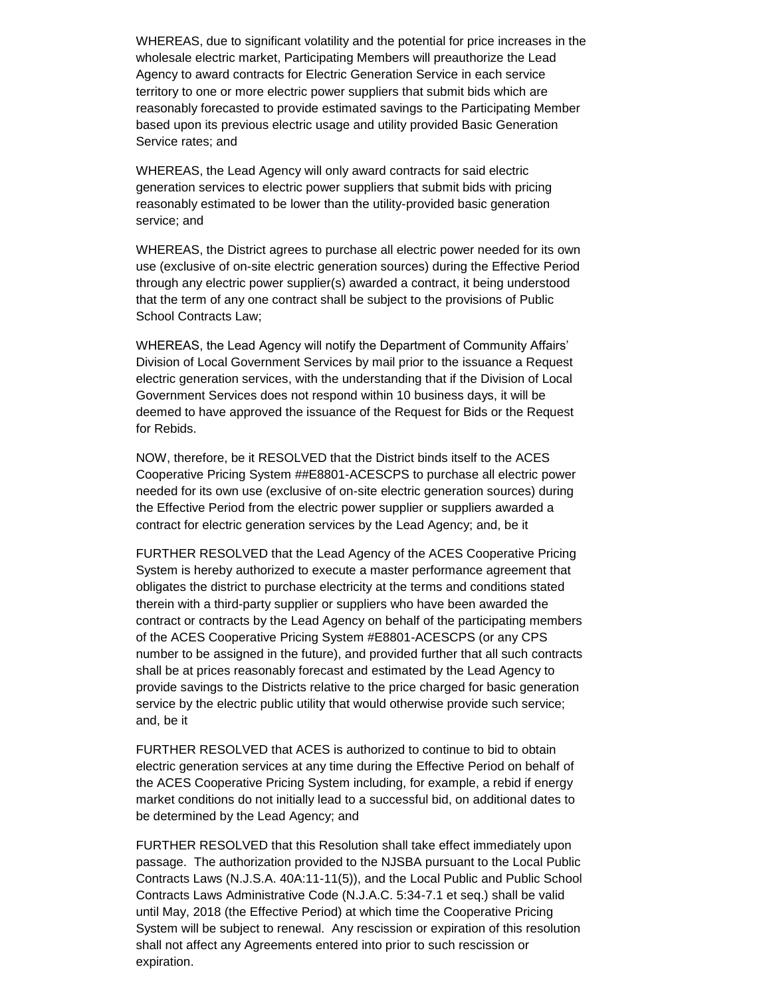WHEREAS, due to significant volatility and the potential for price increases in the wholesale electric market, Participating Members will preauthorize the Lead Agency to award contracts for Electric Generation Service in each service territory to one or more electric power suppliers that submit bids which are reasonably forecasted to provide estimated savings to the Participating Member based upon its previous electric usage and utility provided Basic Generation Service rates; and

WHEREAS, the Lead Agency will only award contracts for said electric generation services to electric power suppliers that submit bids with pricing reasonably estimated to be lower than the utility-provided basic generation service; and

WHEREAS, the District agrees to purchase all electric power needed for its own use (exclusive of on-site electric generation sources) during the Effective Period through any electric power supplier(s) awarded a contract, it being understood that the term of any one contract shall be subject to the provisions of Public School Contracts Law;

WHEREAS, the Lead Agency will notify the Department of Community Affairs' Division of Local Government Services by mail prior to the issuance a Request electric generation services, with the understanding that if the Division of Local Government Services does not respond within 10 business days, it will be deemed to have approved the issuance of the Request for Bids or the Request for Rebids.

NOW, therefore, be it RESOLVED that the District binds itself to the ACES Cooperative Pricing System ##E8801-ACESCPS to purchase all electric power needed for its own use (exclusive of on-site electric generation sources) during the Effective Period from the electric power supplier or suppliers awarded a contract for electric generation services by the Lead Agency; and, be it

FURTHER RESOLVED that the Lead Agency of the ACES Cooperative Pricing System is hereby authorized to execute a master performance agreement that obligates the district to purchase electricity at the terms and conditions stated therein with a third-party supplier or suppliers who have been awarded the contract or contracts by the Lead Agency on behalf of the participating members of the ACES Cooperative Pricing System #E8801-ACESCPS (or any CPS number to be assigned in the future), and provided further that all such contracts shall be at prices reasonably forecast and estimated by the Lead Agency to provide savings to the Districts relative to the price charged for basic generation service by the electric public utility that would otherwise provide such service; and, be it

FURTHER RESOLVED that ACES is authorized to continue to bid to obtain electric generation services at any time during the Effective Period on behalf of the ACES Cooperative Pricing System including, for example, a rebid if energy market conditions do not initially lead to a successful bid, on additional dates to be determined by the Lead Agency; and

FURTHER RESOLVED that this Resolution shall take effect immediately upon passage. The authorization provided to the NJSBA pursuant to the Local Public Contracts Laws (N.J.S.A. 40A:11-11(5)), and the Local Public and Public School Contracts Laws Administrative Code (N.J.A.C. 5:34-7.1 et seq.) shall be valid until May, 2018 (the Effective Period) at which time the Cooperative Pricing System will be subject to renewal. Any rescission or expiration of this resolution shall not affect any Agreements entered into prior to such rescission or expiration.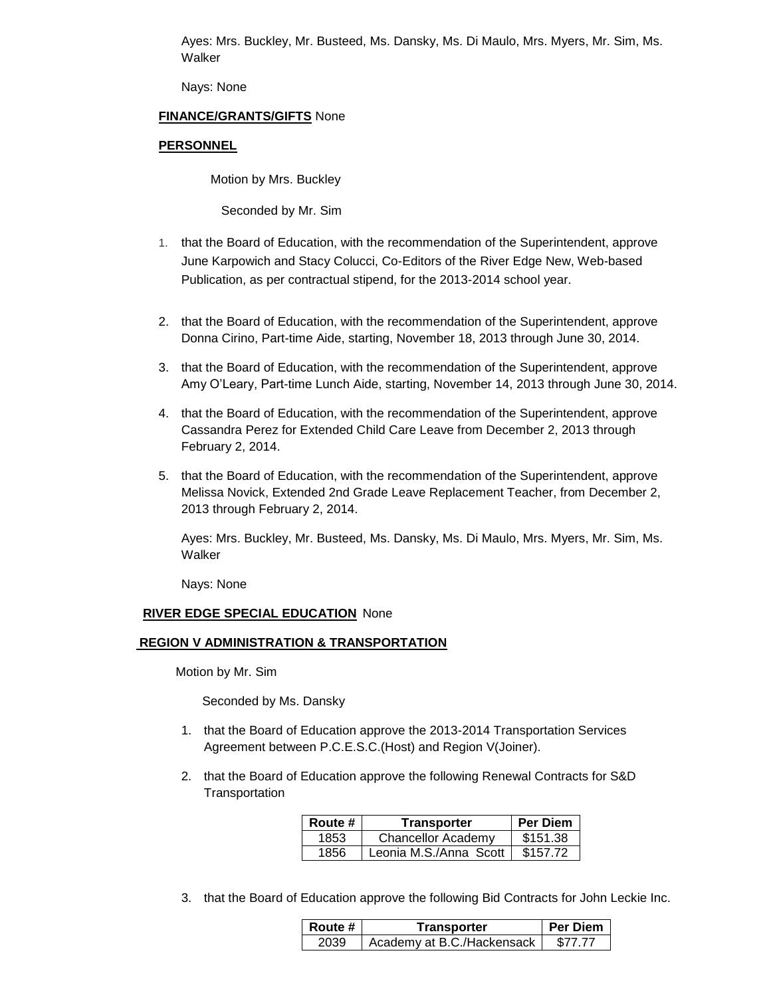Ayes: Mrs. Buckley, Mr. Busteed, Ms. Dansky, Ms. Di Maulo, Mrs. Myers, Mr. Sim, Ms. Walker

Nays: None

## **FINANCE/GRANTS/GIFTS** None

## **PERSONNEL**

Motion by Mrs. Buckley

Seconded by Mr. Sim

- 1. that the Board of Education, with the recommendation of the Superintendent, approve June Karpowich and Stacy Colucci, Co-Editors of the River Edge New, Web-based Publication, as per contractual stipend, for the 2013-2014 school year.
- 2. that the Board of Education, with the recommendation of the Superintendent, approve Donna Cirino, Part-time Aide, starting, November 18, 2013 through June 30, 2014.
- 3. that the Board of Education, with the recommendation of the Superintendent, approve Amy O'Leary, Part-time Lunch Aide, starting, November 14, 2013 through June 30, 2014.
- 4. that the Board of Education, with the recommendation of the Superintendent, approve Cassandra Perez for Extended Child Care Leave from December 2, 2013 through February 2, 2014.
- 5. that the Board of Education, with the recommendation of the Superintendent, approve Melissa Novick, Extended 2nd Grade Leave Replacement Teacher, from December 2, 2013 through February 2, 2014.

Ayes: Mrs. Buckley, Mr. Busteed, Ms. Dansky, Ms. Di Maulo, Mrs. Myers, Mr. Sim, Ms. Walker

Nays: None

## **RIVER EDGE SPECIAL EDUCATION** None

## **REGION V ADMINISTRATION & TRANSPORTATION**

Motion by Mr. Sim

Seconded by Ms. Dansky

- 1. that the Board of Education approve the 2013-2014 Transportation Services Agreement between P.C.E.S.C.(Host) and Region V(Joiner).
- 2. that the Board of Education approve the following Renewal Contracts for S&D **Transportation**

| Route # | Transporter               | <b>Per Diem</b> |
|---------|---------------------------|-----------------|
| 1853    | <b>Chancellor Academy</b> | \$151.38        |
| 1856    | Leonia M.S./Anna Scott    | \$157.72        |

3. that the Board of Education approve the following Bid Contracts for John Leckie Inc.

| Route # | Transporter                | <b>Per Diem</b> |
|---------|----------------------------|-----------------|
| 2039    | Academy at B.C./Hackensack | \$77.77         |